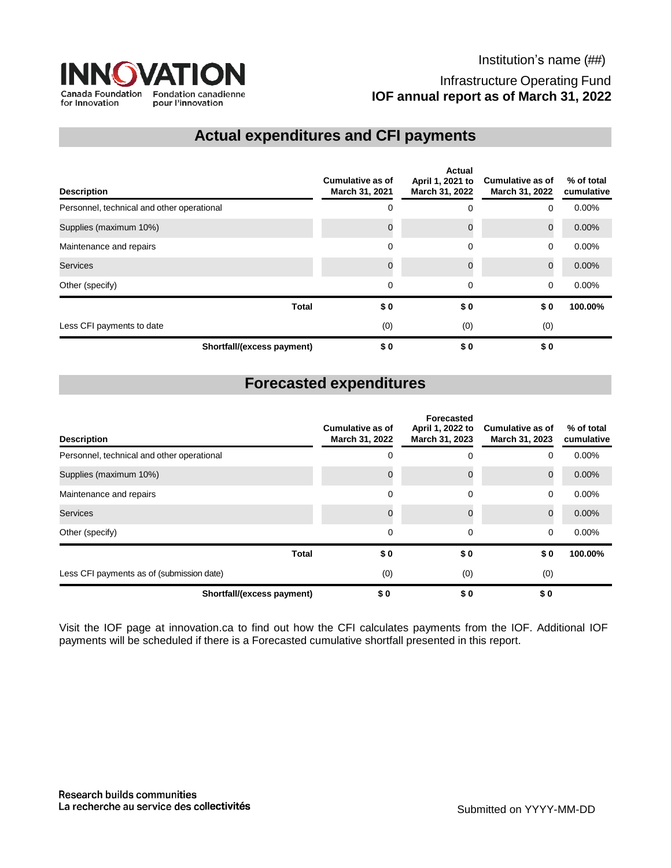

## **Actual expenditures and CFI payments**

| <b>Description</b>                         | <b>Cumulative as of</b><br>March 31, 2021 | Actual<br>April 1, 2021 to<br>March 31, 2022 | <b>Cumulative as of</b><br>March 31, 2022 | % of total<br>cumulative |
|--------------------------------------------|-------------------------------------------|----------------------------------------------|-------------------------------------------|--------------------------|
| Personnel, technical and other operational | $\Omega$                                  | 0                                            | 0                                         | 0.00%                    |
| Supplies (maximum 10%)                     |                                           | $\Omega$                                     | $\mathbf 0$                               | 0.00%                    |
| Maintenance and repairs                    | 0                                         | 0                                            | 0                                         | 0.00%                    |
| <b>Services</b>                            |                                           | $\Omega$                                     | $\mathbf 0$                               | 0.00%                    |
| Other (specify)                            | 0                                         | 0                                            | $\mathbf 0$                               | $0.00\%$                 |
| <b>Total</b>                               | \$0                                       | \$0                                          | \$0                                       | 100.00%                  |
| Less CFI payments to date                  | (0)                                       | (0)                                          | (0)                                       |                          |
| Shortfall/(excess payment)                 | \$0                                       | \$0                                          | \$0                                       |                          |

## **Forecasted expenditures**

| <b>Description</b>                         | Cumulative as of<br>March 31, 2022 | <b>Forecasted</b><br>April 1, 2022 to<br>March 31, 2023 | <b>Cumulative as of</b><br>March 31, 2023 | % of total<br>cumulative |
|--------------------------------------------|------------------------------------|---------------------------------------------------------|-------------------------------------------|--------------------------|
| Personnel, technical and other operational | 0                                  | 0                                                       | 0                                         | 0.00%                    |
| Supplies (maximum 10%)                     |                                    | 0                                                       | $\mathbf 0$                               | 0.00%                    |
| Maintenance and repairs                    | $\Omega$                           | $\Omega$                                                | 0                                         | 0.00%                    |
| Services                                   |                                    | $\Omega$                                                | $\mathbf 0$                               | 0.00%                    |
| Other (specify)                            | 0                                  | 0                                                       | $\mathbf 0$                               | $0.00\%$                 |
| <b>Total</b>                               | \$0                                | \$0                                                     | \$0                                       | 100.00%                  |
| Less CFI payments as of (submission date)  | (0)                                | (0)                                                     | (0)                                       |                          |
| Shortfall/(excess payment)                 | \$0                                | \$0                                                     | \$0                                       |                          |

Visit the IOF page at innovation.ca to find out how the CFI calculates payments from the IOF. Additional IOF payments will be scheduled if there is a Forecasted cumulative shortfall presented in this report.